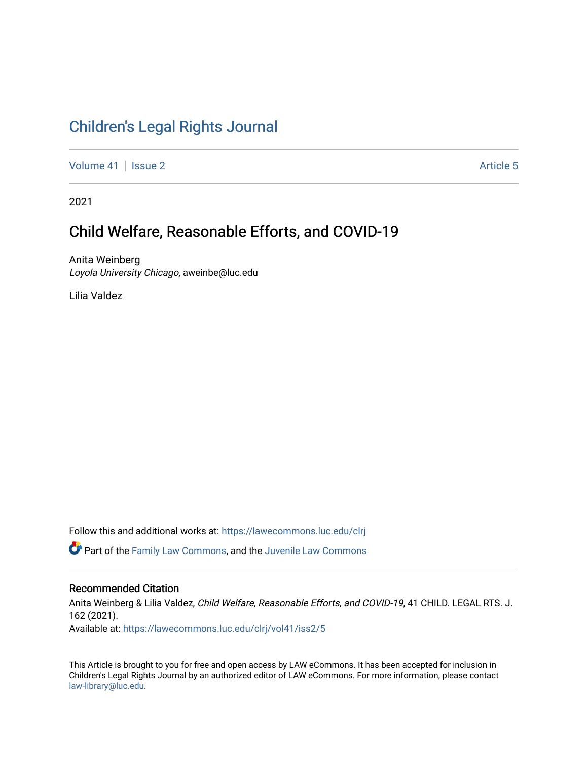# [Children's Legal Rights Journal](https://lawecommons.luc.edu/clrj)

[Volume 41](https://lawecommons.luc.edu/clrj/vol41) | [Issue 2](https://lawecommons.luc.edu/clrj/vol41/iss2) Article 5

2021

# Child Welfare, Reasonable Efforts, and COVID-19

Anita Weinberg Loyola University Chicago, aweinbe@luc.edu

Lilia Valdez

Follow this and additional works at: [https://lawecommons.luc.edu/clrj](https://lawecommons.luc.edu/clrj?utm_source=lawecommons.luc.edu%2Fclrj%2Fvol41%2Fiss2%2F5&utm_medium=PDF&utm_campaign=PDFCoverPages)

Part of the [Family Law Commons,](http://network.bepress.com/hgg/discipline/602?utm_source=lawecommons.luc.edu%2Fclrj%2Fvol41%2Fiss2%2F5&utm_medium=PDF&utm_campaign=PDFCoverPages) and the [Juvenile Law Commons](http://network.bepress.com/hgg/discipline/851?utm_source=lawecommons.luc.edu%2Fclrj%2Fvol41%2Fiss2%2F5&utm_medium=PDF&utm_campaign=PDFCoverPages) 

#### Recommended Citation

Anita Weinberg & Lilia Valdez, Child Welfare, Reasonable Efforts, and COVID-19, 41 CHILD. LEGAL RTS. J. 162 (2021). Available at: [https://lawecommons.luc.edu/clrj/vol41/iss2/5](https://lawecommons.luc.edu/clrj/vol41/iss2/5?utm_source=lawecommons.luc.edu%2Fclrj%2Fvol41%2Fiss2%2F5&utm_medium=PDF&utm_campaign=PDFCoverPages) 

This Article is brought to you for free and open access by LAW eCommons. It has been accepted for inclusion in Children's Legal Rights Journal by an authorized editor of LAW eCommons. For more information, please contact [law-library@luc.edu](mailto:law-library@luc.edu).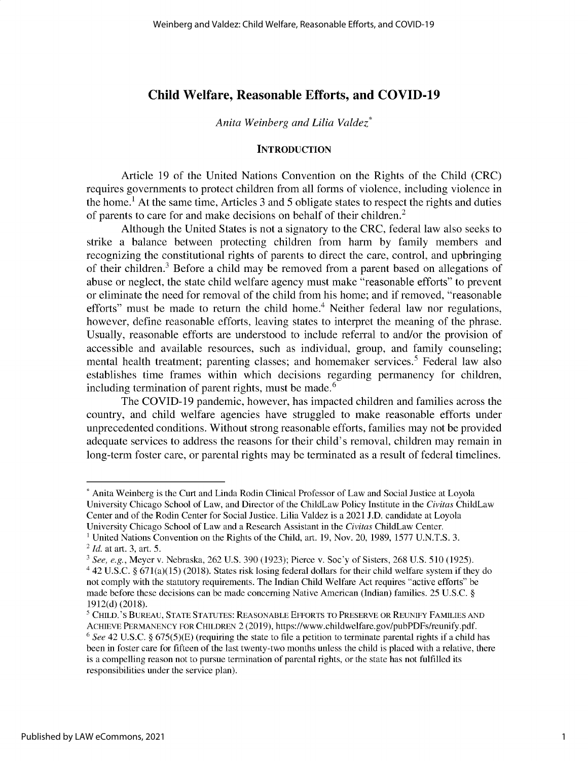# **Child Welfare, Reasonable Efforts, and COVID-19**

#### *Anita Weinberg and Lilia Valdez\**

#### **INTRODUCTION**

Article 19 of the United Nations Convention on the Rights of the Child (CRC) requires governments to protect children from all forms of violence, including violence in the home.1 At the same time, Articles 3 and *5* obligate states to respect the rights and duties of parents to care for and make decisions on behalf of their children.<sup>2</sup>

Although the United States is not a signatory to the CRC, federal law also seeks to strike a balance between protecting children from harm by family members and recognizing the constitutional rights of parents to direct the care, control, and upbringing of their children.<sup>3</sup> Before a child may be removed from a parent based on allegations of abuse or neglect, the state child welfare agency must make "reasonable efforts" to prevent or eliminate the need for removal of the child from his home; and if removed, "reasonable efforts" must be made to return the child home.<sup>4</sup> Neither federal law nor regulations, however, define reasonable efforts, leaving states to interpret the meaning of the phrase. Usually, reasonable efforts are understood to include referral to and/or the provision of accessible and available resources, such as individual, group, and family counseling; mental health treatment; parenting classes; and homemaker services.<sup>5</sup> Federal law also establishes time frames within which decisions regarding permanency for children, including termination of parent rights, must be made.<sup>6</sup>

The COVID-19 pandemic, however, has impacted children and families across the country, and child welfare agencies have struggled to make reasonable efforts under unprecedented conditions. Without strong reasonable efforts, families may not be provided adequate services to address the reasons for their child's removal, children may remain in long-term foster care, or parental rights may be terminated as a result of federal timelines.

<sup>\*</sup> Anita Weinberg is the Curt and Linda Rodin Clinical Professor of Law and Social Justice at Loyola University Chicago School of Law, and Director of the ChildLaw Policy Institute in the *Civitas* ChildLaw Center and of the Rodin Center for Social Justice. Lilia Valdez is a 2021 J.D. candidate at Loyola University Chicago School of Law and a Research Assistant in the *Civitas* ChildLaw Center.

<sup>&</sup>lt;sup>1</sup> United Nations Convention on the Rights of the Child, art. 19, Nov. 20, 1989, 1577 U.N.T.S. 3.

<sup>2</sup> *Id.* at art. 3, art. 5.

*<sup>3</sup> See, e.g.,* Meyer v. Nebraska, 262 U.S. 390 (1923); Pierce v. Soc'y of Sisters, 268 U.S. 510 (1925). a 42 U.S.C. *§* 671(a)(15) (2018). States risk losing federal dollars for their child welfare system if they do not comply with the statutory requirements. The Indian Child Welfare Act requires "active efforts" be

made before these decisions can be made concerning Native American (Indian) families. 25 U.S.C. *§* 1912(d) (2018).

<sup>5</sup> **CHILD.'S BUREAU, STATE STATUTES: REASONABLE EFFORTS TO PRESERVE OR REUNIFY FAMILIES AND ACHIEVE PERMANENCY FOR CHILDREN** 2 (2019), https://www.childwelfare.gov/pubPDFs/reunify.pdf. <sup>6</sup>*See* 42 U.S.C. *§* 675(5)(E) (requiring the state to file a petition to terminate parental rights if a child has been in foster care for fifteen of the last twenty-two months **unless** the child is placed with a relative, there is a compelling reason not to pursue termination of parental rights, or the state has not fulfilled its responsibilities under the service plan).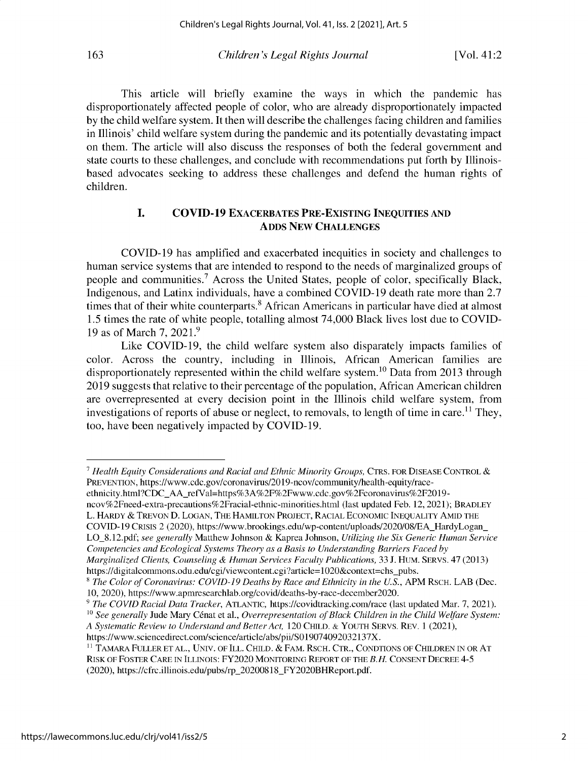This article will briefly examine the ways in which the pandemic has disproportionately affected people of color, who are already disproportionately impacted by the child welfare system. It then will describe the challenges facing children and families **in Illinois'** child welfare system during the pandemic and its potentially devastating impact on them. The article will also discuss the responses of both the federal government and state courts to these challenges, and conclude with recommendations put forth by Illinoisbased advocates seeking to address these challenges and defend the human rights of children.

# **I. COVID-19 EXACERBATES PRE-EXISTING INEQUITIES AND ADDS NEW CHALLENGES**

COVID-19 has amplified and exacerbated inequities in society and challenges to human service systems that are intended to respond to the needs of marginalized groups of people and communities.<sup>7</sup> Across the United States, people of color, specifically Black, Indigenous, and Latinx individuals, have a combined COVID-19 death rate more than 2.7 times that of their white counterparts.<sup>8</sup> African Americans in particular have died at almost *1.5* times the rate of white people, totalling almost 74,000 Black lives lost due to COVID-19 as of March 7, 2021.9

Like COVID-19, the child welfare system also disparately impacts families of color. Across the country, including **in Illinois,** African American families are disproportionately represented within the child welfare system.<sup>10</sup> Data from 2013 through 2019 suggests that relative to their percentage of the population, African American children are overrepresented at every decision point in the Illinois child welfare system, from investigations of reports of abuse or neglect, to removals, to length of time in care.<sup>11</sup> They, too, have been negatively impacted by COVID-19.

ethnicity.html?CDC\_AA\_refVal=https%3A%2F%2Fwww.cdc.gov%2Fcoronavirus%2F2019 ncov%2Fneed-extra-precautions%2Fracial-ethnic-minorities.html (last updated Feb. 12, 2021); **BRADLEY**

L. **HARDY** & TREVON D. **LOGAN, THE HAMILTON PROJECT, RACIAL ECONOMIC INEQUALITY AMID THE**

<sup>?</sup> *Health Equity Considerations and Racial and Ethnic Minority Groups,* **CTRS. FOR DISEASE CONTROL PREVENTION,** https://www.cdc.gov/coronavirus/2019-ncov/community/health-equity/race-

COVID-19 CRISIS 2 (2020), https://www.brookings.edu/wp-content/uploads/2020/08/EA\_HardyLogan\_ LO\_8.12.pdf; *see generally* Matthew **Johnson &** Kaprea **Johnson,** *Utilizing the Six Generic Human Service Competencies and Ecological Systems Theory as a Basis to Understanding Barriers Faced by*

*Marginalized Clients, Counseling & Human Services Faculty Publications,* 33 J. **HUM. SERVS.** *47* (2013) https://digitalcommons.odu.edu/cgi/viewcontent.cgi?article=1020&context=chs\_pubs.

<sup>8</sup> *The Color of Coronavirus: COVID-19 Deaths by Race and Ethnicity in the U.S.,* APM **RSCH.** LAB (Dec. 10, 2020), https://www.apmresearchlab.org/covid/deaths-by-race-december2020.

*<sup>9</sup> The COVID Racial Data Tracker,* **ATLANTIC,** https://covidtracking.com/race (last updated Mar. 7, 2021). <sup>10</sup>*See generally* Jude Mary Cenat et al., *Overrepresentation of Black Children in the Child Welfare System: A Systematic Review to Understand and Better Act,* 120 **CHILD. & YOUTH SERVS. REV.** 1 (2021), https://www.sciencedirect.com/science/article/abs/pii/S019074092032137X.

<sup>&</sup>quot; **TAMARA FULLER ET AL.,** UNIV. **OF ILL. CHILD. & FAM. RSCH. CTR., CONDTIONS OF CHILDREN** IN **OR AT RISK OF** FOSTER **CARE** IN **ILLINOIS:** FY2020 **MONITORING REPORT OF THE** *B.H.* **CONSENT DECREE** 4-5 (2020), https://cfrc.illinois.edu/pubs/rp\_20200818\_FY202OBHReport.pdf.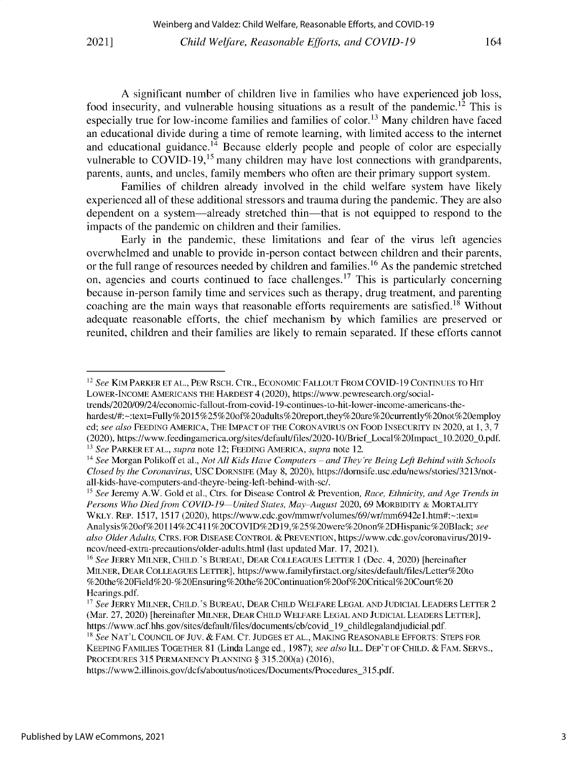A significant number of children live in families who have experienced job loss, food insecurity, and vulnerable housing situations as a result of the pandemic.<sup>12</sup> This is especially true for low-income families and families of color.<sup>13</sup> Many children have faced an educational divide during a time of remote learning, with limited access to the internet and educational guidance.<sup>14</sup> Because elderly people and people of color are especially vulnerable to  $\overrightarrow{CQV}$ ID-19,<sup>15</sup> many children may have lost connections with grandparents, parents, aunts, and uncles, family members who often are their primary support system.

Families of children already involved in the child welfare system have likely experienced all of these additional stressors and trauma during the pandemic. They are also dependent on a system—already stretched thin—that is not equipped to respond to the impacts of the pandemic on children and their families.

Early in the pandemic, these limitations and fear of the virus left agencies overwhelmed and unable to provide in-person contact between children and their parents, or the full range of resources needed by children and families.<sup>16</sup> As the pandemic stretched on, agencies and courts continued to face challenges.<sup>17</sup> This is particularly concerning because in-person family time and services such as therapy, drug treatment, and parenting coaching are the main ways that reasonable efforts requirements are satisfied.<sup>18</sup> Without adequate reasonable efforts, the chief mechanism by which families are preserved or reunited, children and their families are likely to remain separated. If these efforts cannot

<sup>12</sup>*See* **KIM PARKER ET AL., PEW RSCH. CTR., ECONOMIC FALLOUT FROM** COVID-19 **CONTINUES TO HIT LOWER-INCOME AMERICANS THE HARDEST** 4 (2020), https://www.pewresearch.org/social-

trends/2020/09/24/economic-fallout-from-covid-19-continues-to-hit-lower-income-americans-thehardest/#:-:text=Fully%2015%25%20of%2Oadults%20report,they%20are%20currently%20not%2Oemploy ed; *see also* **FEEDING AMERICA, THE IMPACT OF THE CORONAVIRUS ON FOOD INSECURITY IN** 2020, at 1, 3, 7 (2020), https://www.feedingamerica.org/sites/default/files/2020-10/BriefLocal%20Impact\_10.2020\_0.pdf. <sup>13</sup> See PARKER ET AL., *supra* note 12; FEEDING AMERICA, *supra* note 12.

<sup>14</sup>*See* Morgan Polikoff et al., *Not All Kids Have Computers* - *and They're Being Left Behind with Schools Closed by the Coronavirus,* USC **DORNSIFE** (May 8, 2020), https://dornsife.usc.edu/news/stories/3213/notall-kids-have-computers-and-theyre-being-left-behind-with-sc/.

<sup>15</sup>*See* Jeremy A.W. Gold et al., Ctrs. for Disease Control *&* Prevention, *Race, Ethnicity, and Age Trends in Persons Who Died from COVID-19 United States, May-August* 2020, 69 **MORBIDITY & MORTALITY WKLY. REP.** 1517, 1517 (2020), https://www.cdc.gov/mmwr/volumes/69/wr/mm6942e 1.htm#:-:text= Analysis%20of%20114%2C411%20COVID%2D19,%25%20were%20non%2DHispanic%20Black; *see also Older Adults,* **CTRS. FOR DISEASE CONTROL** *&* **PREVENTION,** https://www.cdc.gov/coronavirus/2019 ncov/need-extra-precautions/older-adults.html (last updated Mar. 17, 2021).

<sup>16</sup>*See* **JERRY MILNER, CHILD.'S BUREAU, DEAR COLLEAGUES LETTER** 1 (Dec. *4,* 2020) [hereinafter **MILNER, DEAR COLLEAGUES LETTER],** https://www.familyfirstact.org/sites/default/files/Letter%20to %20the%2OField%20-%2OEnsuring%20the%2OContinuation%20of%2OCritical%2OCourt%20 Hearings.pdf.

<sup>17</sup>*See* **JERRY MILNER, CHILD.'S BUREAU, DEAR CHILD WELFARE LEGAL AND JUDICIAL LEADERS LETTER** 2 (Mar. 27, 2020) [hereinafter **MILNER, DEAR CHILD WELFARE LEGAL AND JUDICIAL LEADERS LETTER],** https://www.acf.hhs.gov/sites/default/files/documents/cb/covid\_19\_childlegalandjudicial.pdf. <sup>18</sup>*See* NAT'L COUNCIL OF **JUV.** *&* FAM. CT. JUDGES ET AL., MAKING REASONABLE EFFORTS: STEPS FOR

KEEPING FAMILIES TOGETHER 81 (Linda Lange ed., 1987); *see also* ILL. DEP'T OF CHILD. & FAM. SERVS., PROCEDURES 315 PERMANENCY PLANNING *§* 315.200(a) (2016),

https://www2.illinois.gov/dcfs/aboutus/notices/Documents/Procedures\_315.pdf.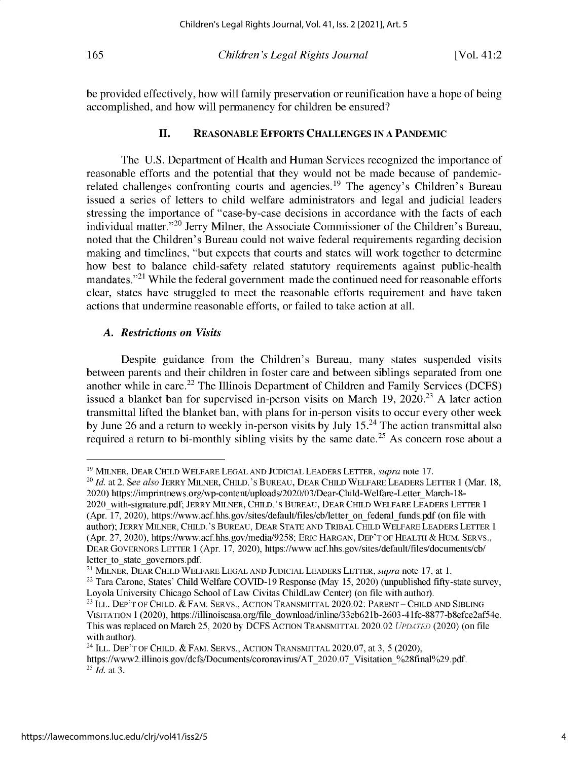be provided effectively, how will family preservation or reunification have a hope of being accomplished, and how will permanency for children be ensured?

### **II. REASONABLE EFFORTS CHALLENGES IN A PANDEMIC**

The U.S. Department of Health and Human Services recognized the importance of reasonable efforts and the potential that they would not be made because of pandemicrelated challenges confronting courts and agencies.<sup>19</sup> The agency's Children's Bureau issued a series of letters to child welfare administrators and legal and judicial leaders stressing the importance of "case-by-case decisions in accordance with the facts of each individual matter.<sup>"20</sup> Jerry Milner, the Associate Commissioner of the Children's Bureau, noted that the Children's Bureau could not waive federal requirements regarding decision making and timelines, "but expects that courts and states will work together to determine how best to balance child-safety related statutory requirements against public-health mandates."<sup>21</sup> While the federal government made the continued need for reasonable efforts clear, states have struggled to meet the reasonable efforts requirement and have taken actions that undermine reasonable efforts, or failed to take action at all.

#### *A. Restrictions on Visits*

Despite guidance from the Children's Bureau, many states suspended visits between parents and their children in foster care and between siblings separated from one another while in care.<sup>22</sup> The Illinois Department of Children and Family Services (DCFS) issued a blanket ban for supervised in-person visits on March 19,  $2020^{23}$  A later action transmittal lifted the blanket ban, with plans for in-person visits to occur every other week by June 26 and a return to weekly in-person visits by July  $15<sup>24</sup>$  The action transmittal also required a return to bi-monthly sibling visits by the same date.<sup>25</sup> As concern rose about a

<sup>19</sup>**MILNER, DEAR CHILD WELFARE LEGAL AND JUDICIAL LEADERS LETTER,** *supra* note 17.

<sup>20</sup>*Id.* at 2. *See also* **JERRY MILNER, CHILD.'S BUREAU, DEAR CHILD WELFARE LEADERS LETTER** 1 (Mar. 18, 2020) https://imprintnews.org/wp-content/uploads/2020/03/Dear-Child-Welfare-Letter\_March-18- 2020\_with-signature.pdf; **JERRY MILNER, CHILD.'S BUREAU, DEAR CHILD WELFARE LEADERS LETTER** <sup>1</sup> (Apr. 17, 2020), https://www.acf.hhs.gov/sites/default/files/cb/letter on federal funds.pdf (on file with author); **JERRY MILNER, CHILD.'S BUREAU, DEAR STATE AND TRIBAL CHILD WELFARE LEADERS LETTER** <sup>1</sup> (Apr. 27, 2020), https://www.acf.hhs.gov/media/9258; **ERIC HARGAN, DEP'T OF HEALTH &** HUM. SERVS., **DEAR GOVERNORS LETTER** 1 (Apr. 17, 2020), https://www.acf.hhs.gov/sites/default/files/documents/cb/ letter to state governors.pdf.

<sup>21</sup>**MILNER, DEAR CHILD WELFARE LEGAL AND JUDICIAL LEADERS LETTER,** *supra* note 17, at 1.

<sup>&</sup>lt;sup>22</sup> Tara Carone, States' Child Welfare COVID-19 Response (May 15, 2020) (unpublished fifty-state survey, Loyola University Chicago School of Law Civitas ChildLaw Center) (on file with author).

<sup>&</sup>lt;sup>23</sup> Ill. Dep't of Child. & Fam. Servs., Action Transmittal 2020.02: Parent - Child and Sibling VISITATION 1 (2020), https://illinoiscasa.org/filedownload/inline/33eb621b-2603-41fc-8877-b8efce2af54e. This was replaced on March *25,* 2020 by DCFS **ACTION TRANSMITTAL** 2020.02 *UPDATED* (2020) (on file with author).

<sup>24</sup>**ILL. DEP'T OF CHILD.** *&* FAM. SERVS., ACTION TRANSMITTAL 2020.07, at 3, *5* (2020), https://www2.illinois.gov/dcfs/Documents/coronavirus/AT\_2020.07\_Visitation\_%28final%29.pdf. <sup>25</sup>*Id.* at 3.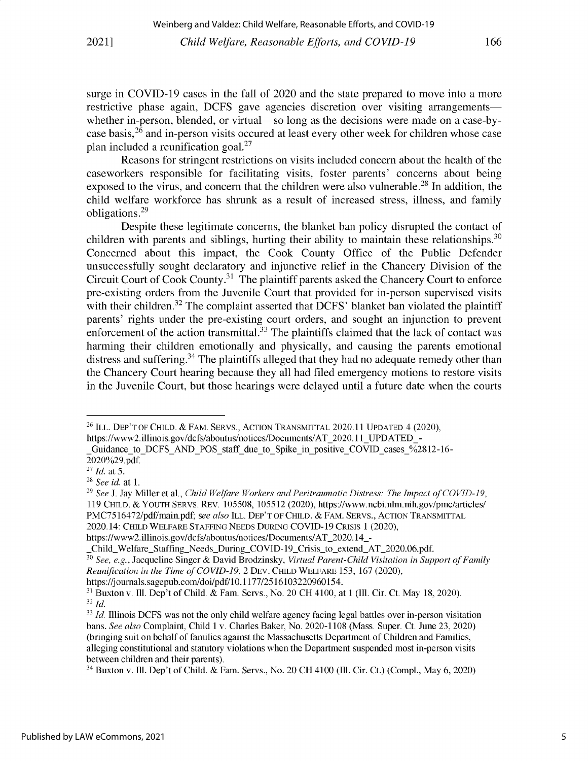**surge in COVID-19 cases in the fall of 2020 and the state prepared to move into a more restrictive phase again, DCFS gave agencies discretion over visiting arrangements** whether in-person, blended, or virtual—so long as the decisions were made on a case-by**case** basis, <sup>26</sup>**and in-person visits occured at least every other week for children whose case plan included a reunification goal. <sup>27</sup>**

**Reasons for stringent restrictions on visits included concern about the health of the caseworkers responsible for facilitating visits, foster parents' concerns about being exposed to the virus, and concern that the children were also vulnerable. <sup>28</sup>In addition, the child welfare workforce has shrunk as a result of increased stress, illness, and family obligations.29**

**Despite these legitimate concerns, the blanket ban policy disrupted the contact of children with parents and siblings, hurting their ability to maintain these relationships.<sup>30</sup> Concerned about this impact, the Cook County Office of the Public Defender unsuccessfully sought declaratory and injunctive relief in the Chancery Division of the Circuit Court of Cook** County.31 **The plaintiff parents asked the Chancery Court to enforce pre-existing orders from the Juvenile Court that provided for in-person supervised visits with their children.32 The complaint asserted that DCFS' blanket ban violated the plaintiff parents' rights under the pre-existing court orders, and sought an injunction to prevent enforcement of the action transmittal.33 The plaintiffs claimed that the lack of contact was harming their children emotionally and physically, and causing the parents emotional distress and** suffering. <sup>4</sup>**The plaintiffs alleged that they had no adequate remedy other than the Chancery Court hearing because they all had filed emergency motions to restore visits in the Juvenile Court, but those hearings were delayed until a future date when the courts**

**<sup>26</sup>ILL. DEP'T OF CHILD.** & **FAM. SERVS., ACTION TRANSMITTAL 2020.11 UPDATED** *4* **(2020), https://www2.illinois.gov/dcfs/aboutus/notices/Documents/AT\_2020.11\_UPDATED\_-**

Guidance to DCFS AND POS staff due to Spike in positive COVID cases %2812-16-**2020%29.pdf.**

**<sup>27</sup>***Id. at* **5.**

**<sup>28</sup>***See id.* **at 1.**

**<sup>29</sup>***See J.* **Jay Miller et al.,** *Child Welfare Workers and Peritraumatic Distress: The Impact of COVID-19,* **119 CHILD.** *&* YOUTH **SERVS. REv.** *105508,* **105512 (2020), https://www.ncbi.nlm.nih.gov/pmc/articles/ PMC7516472/pdf/main.pdf;** *see also* **ILL. DEP' T OF CHILD.** & **FAM. SERVS.,** ACTION **TRANSMITTAL 2020.14: CHILD WELFARE STAFFING NEEDS DURING COVID-19 CRISIS 1 (2020),**

**https://www2.illinois.gov/dcfs/aboutus/notices/Documents/AT\_2020.14\_-**

Child\_Welfare\_Staffing\_Needs\_During\_COVID-19\_Crisis\_to\_extend\_AT\_2020.06.pdf.

<sup>30</sup>*See, e.g.,* **Jacqueline Singer & David Brodzinsky,** *Virtual Parent-Child Visitation in Support of Family Reunification in the Time of COVID-19,* **2 DEV. CHILD WELFARE 153, 167 (2020),**

https://journals.sagepub.com/doi/pdf/10. 1177/2516103220960154.

**<sup>&</sup>quot; Buxton v. Ill. Dep't of Child. & Fam. Servs., No. 20 CH 4100, at 1 (Ill. Cir. Ct. May 18, 2020). <sup>32</sup>***Id.*

<sup>33</sup>*Id.* **Illinois DCFS was not the only child welfare agency facing legal battles over in-person visitation bans.** *See also* **Complaint, Child 1 v. Charles Baker, No. 2020-1108 (Mass. Super. Ct. June 23, 2020) (bringing suit on behalf of families against the Massachusetts Department of Children and Families, alleging constitutional and statutory violations when the Department suspended most in-person visits between children and their parents).**

**<sup>34</sup>Buxton v. Ill. Dep't of Child. & Fam. Servs., No. 20 CH 4100 (Ill. Cir. Ct.) (Compl., May 6, 2020)**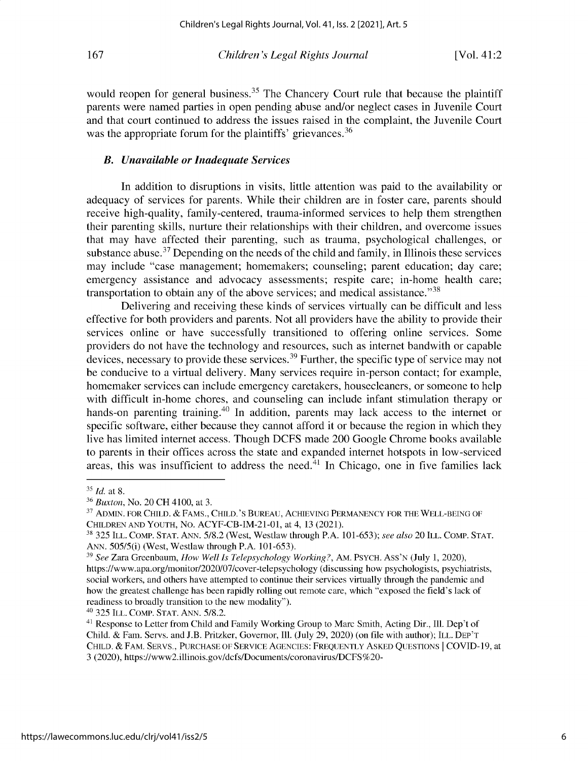would reopen for general business.<sup>35</sup> The Chancery Court rule that because the plaintiff parents were named parties in open pending abuse and/or neglect cases in Juvenile Court and that court continued to address the issues raised in the complaint, the Juvenile Court was the appropriate forum for the plaintiffs' grievances.<sup>36</sup>

### *B. Unavailable or Inadequate Services*

In addition to disruptions in visits, little attention was paid to the availability or adequacy of services for parents. While their children are in foster care, parents should receive high-quality, family-centered, trauma-informed services to help them strengthen their parenting skills, nurture their relationships with their children, and overcome issues that may have affected their parenting, such as trauma, psychological challenges, or substance abuse.<sup>37</sup> Depending on the needs of the child and family, in Illinois these services may include "case management; homemakers; counseling; parent education; day care; emergency assistance and advocacy assessments; respite care; in-home health care; transportation to obtain any of the above services; and medical assistance."<sup>38</sup>

Delivering and receiving these kinds of services virtually can be difficult and less effective for both providers and parents. Not all providers have the ability to provide their services online or have successfully transitioned to offering online services. Some providers do not have the technology and resources, such as internet bandwith or capable devices, necessary to provide these services.<sup>39</sup> Further, the specific type of service may not be conducive to a virtual delivery. Many services require in-person contact; for example, homemaker services can include emergency caretakers, housecleaners, or someone to help with difficult in-home chores, and counseling can include infant stimulation therapy or hands-on parenting training.<sup>40</sup> In addition, parents may lack access to the internet or specific software, either because they cannot afford it or because the region in which they live has limited internet access. Though DCFS made 200 Google Chrome books available to parents in their offices across the state and expanded internet hotspots in low-serviced areas, this was insufficient to address the need. $^{41}$  In Chicago, one in five families lack

<sup>40</sup>325 **ILL. COMP. STAT.** ANN. 5/8.2.

<sup>&</sup>lt;sup>35</sup> *Id.* at 8.

<sup>36</sup>*Buxton,* No. 20 CH 4100, at 3.

<sup>37</sup> **ADMIN. FOR CHILD.** *&* **FAMS., CHILD.'S BUREAU, ACHIEVING PERMANENCY FOR THE WELL-BEING OF CHILDREN AND YOUTH,** No. ACYF-CB-IM-21-01, at 4, 13 (2021).

<sup>38</sup>325 **ILL. COMP. STAT.** ANN. 5/8.2 (West, Westlaw through P.A. 101-653); *see also 20* **ILL. COMP. STAT.** ANN. 505/5(i) (West, Westlaw through P.A. 101-653).

<sup>39</sup>*See* Zara Greenbaum, *How Well Is Telepsychology Working?,* AM. **PSYCH. Ass'N** (July 1, 2020), https://www.apa.org/monitor/2020/07/cover-telepsychology (discussing how psychologists, psychiatrists, social workers, and others have attempted to continue their services virtually through the pandemic and how the greatest challenge has been rapidly rolling out remote care, which "exposed the field's lack of readiness to broadly transition to the new modality").

<sup>&</sup>lt;sup>41</sup> Response to Letter from Child and Family Working Group to Marc Smith, Acting Dir., Ill. Dep't of Child. & Fam. Servs. and J.B. Pritzker, Governor, Ill. (July 29, 2020) (on file with author); **ILL. DEP'T CHILD.** *&* **FAM. SERVS., PURCHASE OF SERVICE AGENCIES: FREQUENTLY ASKED QUESTIONS** I COVID-19, at 3 (2020), https://www2.illinois.gov/dcfs/Documents/coronavirus/DCFS%20-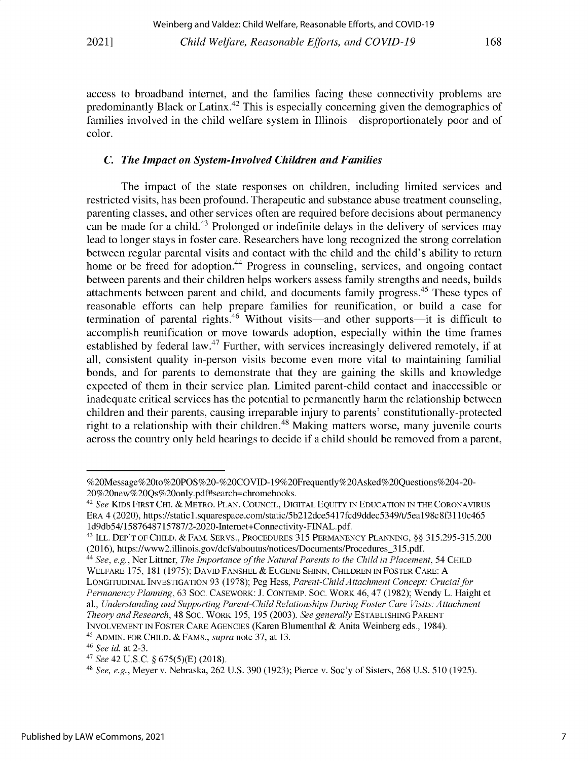**access to broadband internet, and the families facing these connectivity problems are** predominantly Black or Latinx.<sup>42</sup> This is especially concerning given the demographics of families involved in the child welfare system in Illinois—disproportionately poor and of **color.**

## *C. The Impact on System-Involved Children and Families*

The impact of the state responses on children, including limited services and **restricted visits, has been profound. Therapeutic and substance abuse treatment counseling, parenting classes, and other services often are required before decisions about permanency** can be made for a child.<sup>43</sup> Prolonged or indefinite delays in the delivery of services may **lead to longer stays in foster care. Researchers have long recognized the strong correlation between regular parental visits and contact with the child and the child's ability to return home or be freed for adoption.44 Progress in counseling, services, and ongoing contact between parents and their children helps workers assess family strengths and needs, builds attachments between parent and child, and documents family** progress. <sup>45</sup>**These types of reasonable efforts can help prepare families for reunification, or build a case for** termination of parental rights.<sup>46</sup> Without visits—and other supports—it is difficult to **accomplish reunification or move towards adoption, especially within the time frames** established by federal law.<sup>47</sup> Further, with services increasingly delivered remotely, if at **all, consistent quality in-person visits become even more vital to maintaining familial bonds, and for parents to demonstrate that they are gaining the skills and knowledge expected of them in their service plan. Limited parent-child contact and inaccessible or** inadequate critical services has the potential to permanently harm the relationship between children and their parents, causing irreparable injury to parents' constitutionally-protected **right to a relationship with their children.48 Making matters worse, many juvenile courts** across the country only held hearings to decide if a child should be removed from a parent,

<sup>%20</sup>Message%20to%20POS%20-%20COVID-19%20Frequently%20Asked%20Questions%204-20- 20%20new%20Qs%20only.pdf#search=chromebooks.

<sup>42</sup>*See* **KIDS FIRST CHI.** & **METRO.** PLAN. **COUNCIL, DIGITAL EQUITY IN EDUCATION IN THE CORONAVIRUS ERA** 4 (2020), https://static1.squarespace.com/static/5b212dce5417fcd9ddec5349/t/5ea198c8f31 10c465 1d9db54/1587648715787/2-2020-Internet+Connectivity-FINAL.pdf.

<sup>43</sup>**ILL. DEP'T OF CHILD. & FAM. SERVS., PROCEDURES** 315 **PERMANENCY PLANNING,** *§§* 315.295-315.200 **(2016), https://www2.illinois.gov/dcfs/aboutus/notices/Documents/Procedures\_315.pdf.**

<sup>44</sup>*See, e.g.,* Ner Littner, *The Importance of the Natural Parents to the Child in Placement, 54* **CHILD WELFARE** *175,* 181 *(1975);* **DAVID FANSHEL** *&* **EUGENE SHINN, CHILDREN IN** FOSTER CARE: A **LONGITUDINAL INVESTIGATION** 93 (1978); **Peg Hess,** *Parent-ChildAttachment Concept: Crucial for Permanency Planning, 63* SOC. **CASEWORK:** J. **CONTEMP.** SOC. WORK 46, 47 (1982); Wendy L. Haight et al., *Understanding and Supporting Parent-Child Relationships During Foster Care Visits: Attachment Theory and Research, 48* SOC. WORK *195, 195* (2003). *See generally* **ESTABLISHING PARENT INVOLVEMENT IN FOSTER** CARE **AGENCIES** (Karen Blumenthal & Anita Weinberg eds., 1984).

<sup>45</sup>**ADMIN. FOR CHILD.** & **FAMS.,** *supra* note 37, at 13.

<sup>46</sup>*See id.* at 2-3.

*<sup>47</sup>See* 42 U.S.C. *§ 675(5)(E)* (2018).

<sup>48</sup>*See, e.g.,* Meyer v. Nebraska, 262 U.S. 390 (1923); Pierce v. Soc'y of Sisters, 268 U.S. 510 (1925).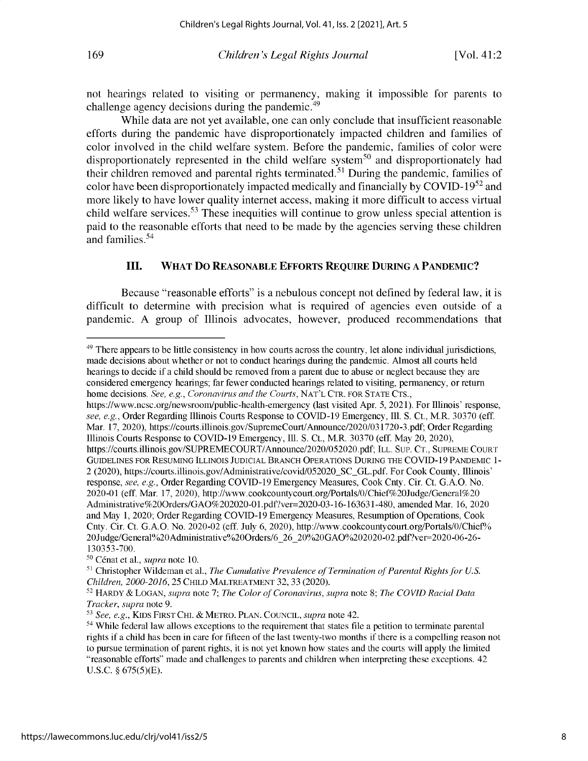not hearings related to visiting or permanency, making it impossible for parents to challenge agency decisions during the pandemic.<sup>49</sup>

While data are not yet available, one can only conclude that insufficient reasonable efforts during the pandemic have disproportionately impacted children and families of color involved in the child welfare system. Before the pandemic, families of color were disproportionately represented in the child welfare system<sup>50</sup> and disproportionately had their children removed and parental rights terminated.<sup>51</sup> During the pandemic, families of color have been disproportionately impacted medically and financially by COVID-19 $52$  and more likely to have lower quality internet access, making it more difficult to access virtual child welfare services.<sup>53</sup> These inequities will continue to grow unless special attention is paid to the reasonable efforts that need to be made by the agencies serving these children and families. <sup>54</sup>

## **III. WHAT DO REASONABLE EFFORTS REQUIRE DURING A PANDEMIC?**

Because "reasonable efforts" is a nebulous concept not defined by federal law, it is difficult to determine with precision what is required of agencies even outside of a pandemic. A group of Illinois advocates, however, produced recommendations that

https://www.ncsc.org/newsroom/public-health-emergency (last visited Apr. *5,* 2021). For Illinois' response, *see, e.g.,* Order Regarding Illinois Courts Response to COVID-19 Emergency, Ill. S. Ct., M.R. 30370 (eff. Mar. 17, 2020), https://courts.illinois.gov/SupremeCourt/Announce/2020/031720 -3.pdf; Order Regarding Illinois Courts Response to COVID-19 Emergency, Ill. S. Ct., M.R. 30370 (eff. May 20, 2020), https://courts.illinois.gov/SUPREMECOURT/Announce/2020/052020.pdf; ILL. SUP. CT., SUPREME COURT GUIDELINES FOR RESUMING ILLINOIS JUDICIAL BRANCH OPERATIONS DURING THE COVID-19 PANDEMIC 1- 2 (2020), https://courts.illinois.gov/Administrative/covid/052020\_SC\_GL.pdf. For Cook County, Illinois' response, *see, e.g.,* Order Regarding COVID-19 Emergency Measures, Cook Cnty. Cir. Ct. G.A.O. No. 2020-01 (eff. Mar. 17, 2020), http://www.cookcountycourt.org/Portals/0/Chief%20Judge/General%20 Administrative%200rders/GAO%202020-01.pdf?ver=2020-03-16-163631-480, amended Mar. 16, 2020 and May 1, 2020; Order Regarding COVID-19 Emergency Measures, Resumption of Operations, Cook Cnty. Cir. Ct. G.A.O. No. 2020-02 (eff. July 6, 2020), http://www.cookcountycourt.org/Portals/0/Chief% 20Judge/General%20Administrative%200rders/6\_26\_20%20GAO%202020-02.pdf?ver=2020-06-26- *130353-700.*

<sup>&</sup>lt;sup>49</sup> There appears to be little consistency in how courts across the country, let alone individual jurisdictions, made decisions about whether or not to conduct hearings during the pandemic. Almost all courts held hearings to decide if a child should be removed from a parent due to abuse or neglect because they are considered emergency hearings; far fewer conducted hearings related to visiting, permanency, or return home decisions. *See, e.g., Coronavirus and the Courts,* NAT'L CTR. FOR STATE CTS.,

<sup>&</sup>lt;sup>50</sup> Cénat et al., *supra* note 10.

<sup>&</sup>lt;sup>51</sup> Christopher Wildeman et al., *The Cumulative Prevalence of Termination of Parental Rights for U.S. Children, 2000-2016, 25* CHILD MALTREATMENT 32, 33 (2020).

<sup>52</sup>HARDY & LOGAN, *supra* note *7; The Color of Coronavirus, supra* note 8; *The COVID Racial Data Tracker, supra* note 9.

<sup>5</sup> *See, e.g.,* KIDS FIRST CHI. & METRO. PLAN. COUNCIL, *supra* note 42.

<sup>&</sup>lt;sup>54</sup> While federal law allows exceptions to the requirement that states file a petition to terminate parental rights if a child has been in care for fifteen of the last twenty-two months if there is a compelling reason not to pursue termination of parent rights, it is not yet known how states and the courts will apply the limited "reasonable efforts" made and challenges to parents and children when interpreting these exceptions. 42 U.S.C. *§* 675(5)(E).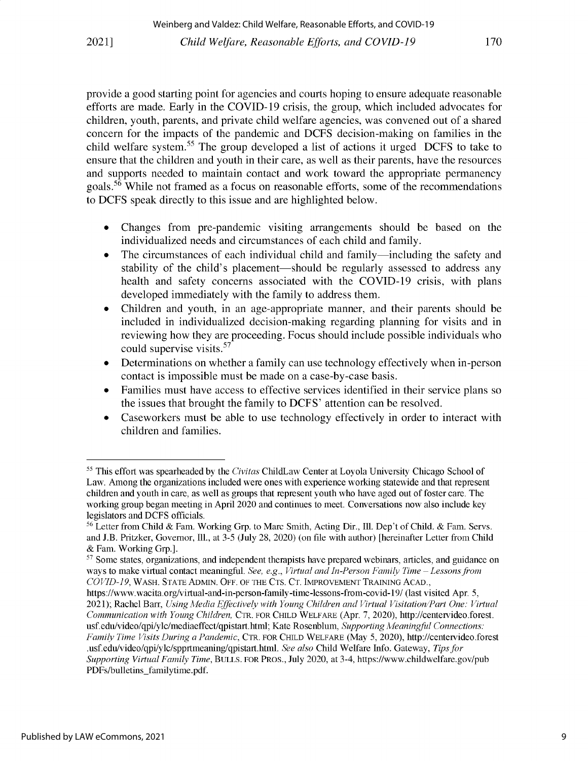**provide a good starting point for agencies and courts hoping to ensure adequate reasonable efforts are made. Early in the COVID-19 crisis, the group, which included advocates for children, youth, parents, and private child welfare agencies, was convened out of a shared concern for the impacts of the pandemic and DCFS decision-making on families in the child welfare** system. <sup>55</sup>**The group developed a list of actions it urged DCFS to take to ensure that the children and youth in their care, as well as their parents, have the resources and supports needed to maintain contact and work toward the appropriate permanency** goals. <sup>56</sup>**While not framed as a focus on reasonable efforts, some of the recommendations to DCFS speak directly to this issue and are highlighted below.**

- **" Changes from pre-pandemic visiting arrangements should be based on the individualized needs and circumstances of each child and family.**
- The circumstances of each individual child and family—including the safety and **stability of the child's** placement-should **be regularly assessed to address any health and safety concerns associated with the COVID-19 crisis, with plans developed immediately with the family to address them.**
- **" Children and youth, in an age-appropriate manner, and their parents should be included in individualized decision-making regarding planning for visits and in reviewing how they are proceeding. Focus should include possible individuals who could supervise** visits. <sup>57</sup>
- **" Determinations on whether a family can use technology effectively when in-person contact is impossible must be made on a case-by-case basis.**
- **" Families must have access to effective services identified in their service plans so the issues that brought the family to DCFS' attention can be resolved.**
- **" Caseworkers must be able to use technology effectively in order to interact with children and families.**

**<sup>5</sup> This effort was spearheaded by the** *Civitas* **ChildLaw Center at Loyola University Chicago School of Law. Among the organizations included were ones with experience working statewide and that represent children and youth in care, as well as groups that represent youth who have aged out of foster care. The working group began meeting in April 2020 and continues to meet. Conversations now also include key legislators and DCFS officials.**

**<sup>56</sup>Letter from Child** & **Fam. Working Grp. to Marc Smith, Acting Dir., Ill. Dep't of Child.** & **Fam. Servs. and J.B. Pritzker, Governor, Ill., at 3-5 (July 28, 2020) (on file with author) [hereinafter Letter from Child & Fam. Working Grp.].**

<sup>&</sup>lt;sup>57</sup> Some states, organizations, and independent therapists have prepared webinars, articles, and guidance on **ways to make virtual contact meaningful.** *See, e.g., Virtual and In-Person Family Time -Lessons from COVID-19,* **WASH. STATE ADMIN. OFF. OF THE CTS. CT. IMPROVEMENT TRAINING ACAD.,**

**https://www.wacita.org/virtual-and-in-person-family-time-lessons-from-covid-19/ (last visited Apr.** *5,* **2021); Rachel Barr,** *Using Media Effectively with Young Children and Virtual Visitation/Part One: Virtual Communication with Young Children,* **CTR. FOR CHILD WELFARE** (Apr. *7,* **2020), http://centervideo.forest. usf.edu/video/qpi/ylc/mediaeffect/qpistart.html; Kate Rosenblum,** *Supporting Meaningful Connections: Family Time Visits During a Pandemic,* **CTR. FOR CHILD WELFARE (May** *5,* **2020), http://centervideo.forest .usf.edu/video/qpi/ylc/spprtmeaning/qpistart.html.** *See also* **Child Welfare Info. Gateway,** *Tips for Supporting Virtual Family Time,* **BULLS. FOR PROs., July 2020, at 3-4, https://www.childwelfare.gov/pub PDFs/bulletins\_familytime.pdf.**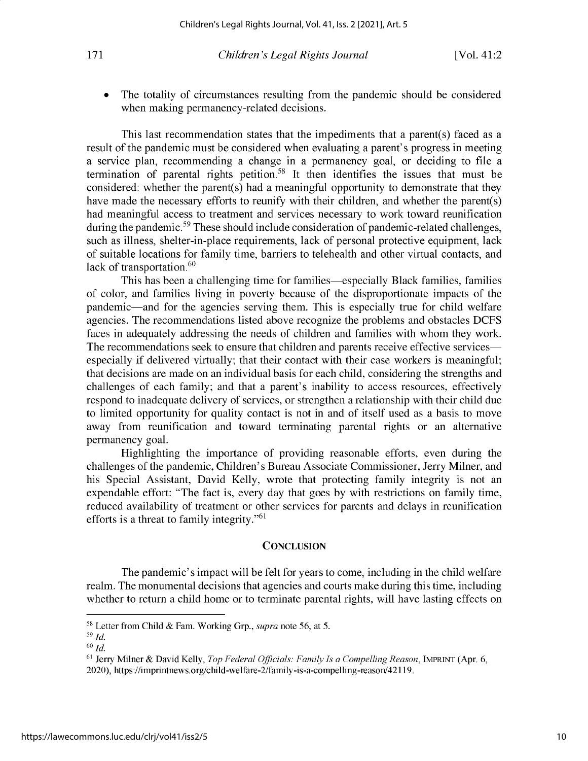The totality of circumstances resulting from the pandemic should be considered **when making permanency-related decisions.**

**This last recommendation states that the impediments that a parent(s) faced as a result of the pandemic must be considered when evaluating a parent's progress in meeting a service plan, recommending a change in a permanency goal, or deciding to file a termination of parental rights** petition.58 **It then identifies the issues that must be considered: whether the parent(s) had a meaningful opportunity to demonstrate that they have made the necessary efforts to reunify with their children, and whether the parent(s) had meaningful access to treatment and services necessary to work toward reunification during the pandemic. <sup>59</sup>These should include consideration of pandemic-related challenges, such as illness, shelter-in-place requirements, lack of personal protective equipment, lack of suitable locations for family time, barriers to telehealth and other virtual contacts, and lack of transportation.<sup>60</sup>**

This **has been a challenging time for families-especially Black families, families of color, and families living in poverty because of the disproportionate impacts of the pandemic-and for the agencies serving them. This is especially true for child welfare agencies. The recommendations listed above recognize the problems and obstacles DCFS faces in adequately addressing the needs of children and families with whom** they work. **The recommendations seek to ensure that children and parents receive effective services especially if delivered virtually; that their contact with their case workers is meaningful; that decisions are made on an individual basis for each child, considering the strengths and challenges of each family; and that a parent's inability to access resources,** effectively **respond to inadequate** delivery of **services, or strengthen a relationship with their child due to limited opportunity for quality contact is not in and of itself used as a basis to move away from reunification and toward terminating parental rights or an alternative permanency goal.**

**Highlighting the importance of providing reasonable efforts, even during the challenges of the pandemic, Children's Bureau Associate Commissioner,** Jerry **Milner, and his Special Assistant, David Kelly, wrote that protecting family integrity is not an expendable effort: "The fact is,** every day **that goes** by with **restrictions on family time, reduced availability of treatment or other services for parents and delays in reunification efforts is a threat to family integrity."61**

#### **CONCLUSION**

**The pandemic's impact will be felt for years to come, including in the child welfare realm. The monumental decisions that agencies and courts make during this time, including whether to return a child home or to terminate parental rights, will have lasting effects on**

**<sup>58</sup>Letter from Child** & **Fam. Working Grp.,** *supra* **note 56, at 5.**

<sup>59</sup> *Id.* <sup>60</sup>*Id.*

<sup>61</sup>**Jerry Milner** & **David Kelly,** *Top Federal Officials: Family Is a Compelling Reason,* **IMPRINT** (Apr. 6, **2020), https://imprintnews.org/child-welfare-2/family-is-a-compelling-reason/42119.**